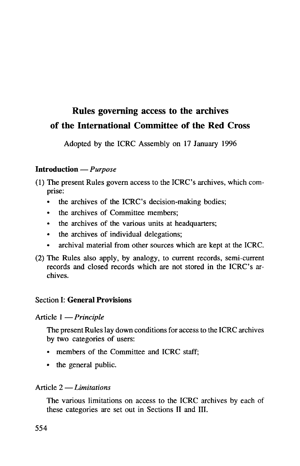# Rules governing access to the archives of the International Committee of the Red Cross

Adopted by the ICRC Assembly on 17 January 1996

## **Introduction** — *Purpose*

- (1) The present Rules govern access to the ICRC's archives, which comprise:
	- the archives of the ICRC's decision-making bodies;
	- the archives of Committee members:
	- the archives of the various units at headquarters;
	- the archives of individual delegations;
	- archival material from other sources which are kept at the ICRC.
- (2) The Rules also apply, by analogy, to current records, semi-current records and closed records which are not stored in the ICRC's archives.

## Section **I: General Provisions**

Article 1 — *Principle*

The present Rules lay down conditions for access to the ICRC archives by two categories of users:

- members of the Committee and ICRC staff;
- the general public.

## Article 2 — *Limitations*

The various limitations on access to the ICRC archives by each of these categories are set out in Sections II and III.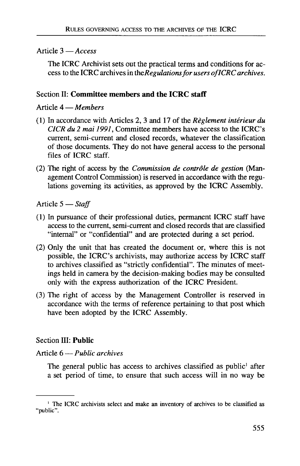#### Article 3 — *Access*

The ICRC Archivist sets out the practical terms and conditions for access to the ICRC archives in *\heRegulationsfor users of ICRC archives.*

## Section II: **Committee members and the ICRC staff**

#### Article 4 — *Members*

- (1) In accordance with Articles 2, 3 and 17 of the *Reglement interieur du CICR du 2 mai 1991,* Committee members have access to the ICRC's current, semi-current and closed records, whatever the classification of those documents. They do not have general access to the personal files of ICRC staff.
- (2) The right of access by the *Commission de controle de gestion* (Management Control Commission) is reserved in accordance with the regulations governing its activities, as approved by the ICRC Assembly.

Article 5 — *Staff*

- (1) In pursuance of their professional duties, permanent ICRC staff have access to the current, semi-current and closed records that are classified "internal" or "confidential" and are protected during a set period.
- (2) Only the unit that has created the document or, where this is not possible, the ICRC's archivists, may authorize access by ICRC staff to archives classified as "strictly confidential". The minutes of meetings held in camera by the decision-making bodies may be consulted only with the express authorization of the ICRC President.
- (3) The right of access by the Management Controller is reserved in accordance with the terms of reference pertaining to that post which have been adopted by the ICRC Assembly.

#### Section III: **Public**

#### Article 6 — *Public archives*

The general public has access to archives classified as public<sup>1</sup> after a set period of time, to ensure that such access will in no way be

<sup>1</sup> The ICRC archivists select and make an inventory of archives to be classified as "public".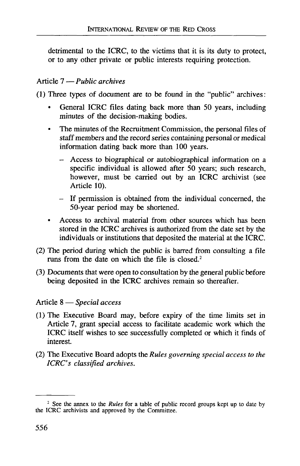detrimental to the ICRC, to the victims that it is its duty to protect, or to any other private or public interests requiring protection.

## Article 7 — *Public archives*

(1) Three types of document are to be found in the "public" archives:

- General ICRC files dating back more than 50 years, including minutes of the decision-making bodies.
- The minutes of the Recruitment Commission, the personal files of staff members and the record series containing personal or medical information dating back more than 100 years.
	- Access to biographical or autobiographical information on a specific individual is allowed after 50 years; such research, however, must be carried out by an ICRC archivist (see Article 10).
	- If permission is obtained from the individual concerned, the 50-year period may be shortened.
- Access to archival material from other sources which has been stored in the ICRC archives is authorized from the date set by the individuals or institutions that deposited the material at the ICRC.
- (2) The period during which the public is barred from consulting a file runs from the date on which the file is closed.<sup>2</sup>
- (3) Documents that were open to consultation by the general public before being deposited in the ICRC archives remain so thereafter.

## Article 8 — *Special access*

- (1) The Executive Board may, before expiry of the time limits set in Article 7, grant special access to facilitate academic work which the ICRC itself wishes to see successfully completed or which it finds of interest.
- (2) The Executive Board adopts the *Rules governing special access to the ICRC's classified archives.*

*<sup>2</sup>* See the annex to the *Rules* for a table of public record groups kept up to date by the ICRC archivists and approved by the Committee.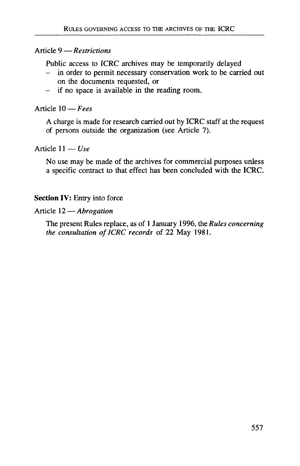#### Article 9 — *Restrictions*

Public access to **ICRC** archives may be temporarily delayed

- in order to permit necessary conservation work to be carried out on the documents requested, or
- if no space is available in the reading room.

Article 10 — *Fees*

A charge is made for research carried out by **ICRC** staff at the request of persons outside the organization (see Article 7).

## Article  $11 - Use$

No use may be made of the archives for commercial purposes unless a specific contract to that effect has been concluded with the **ICRC.**

## **Section IV:** Entry into force

#### Article 12 — *Abrogation*

The present Rules replace, as of 1 January 1996, *the Rules concerning the consultation of ICRC records* of 22 May 1981.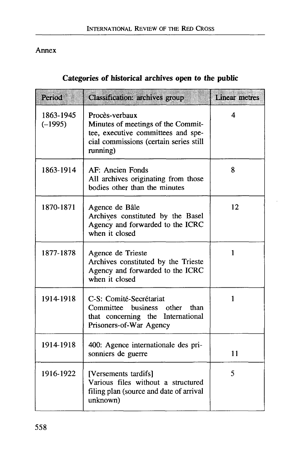## Annex

## **Categories of historical archives open to the public**

| Period                 | <b>Classification: archives group</b>                                                                                                            | <b>Linear metres</b> |
|------------------------|--------------------------------------------------------------------------------------------------------------------------------------------------|----------------------|
| 1863-1945<br>$(-1995)$ | Procès-verbaux<br>Minutes of meetings of the Commit-<br>tee, executive committees and spe-<br>cial commissions (certain series still<br>running) | 4                    |
| 1863-1914              | AF: Ancien Fonds<br>All archives originating from those<br>bodies other than the minutes                                                         | 8                    |
| 1870-1871              | Agence de Bâle<br>Archives constituted by the Basel<br>Agency and forwarded to the ICRC<br>when it closed                                        | 12                   |
| 1877-1878              | Agence de Trieste<br>Archives constituted by the Trieste<br>Agency and forwarded to the ICRC<br>when it closed                                   | 1                    |
| 1914-1918              | C-S: Comité-Secrétariat<br>Committee business other than<br>that concerning the International<br>Prisoners-of-War Agency                         | 1                    |
| 1914-1918              | 400: Agence internationale des pri-<br>sonniers de guerre                                                                                        | 11                   |
| 1916-1922              | [Versements tardifs]<br>Various files without a structured<br>filing plan (source and date of arrival<br>unknown)                                | 5                    |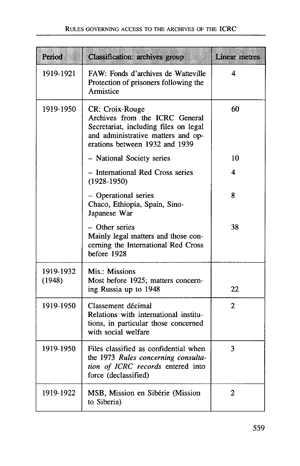| Period              | <b>Classification: archives group</b>                                                                                                                              | <b>Linear metres</b> |
|---------------------|--------------------------------------------------------------------------------------------------------------------------------------------------------------------|----------------------|
| 1919-1921           | FAW: Fonds d'archives de Watteville<br>Protection of prisoners following the<br>Armistice                                                                          | 4                    |
| 1919-1950           | CR: Croix-Rouge<br>Archives from the ICRC General<br>Secretariat, including files on legal<br>and administrative matters and op-<br>erations between 1932 and 1939 | 60                   |
|                     | - National Society series                                                                                                                                          | 10                   |
|                     | - International Red Cross series<br>$(1928-1950)$                                                                                                                  | 4                    |
|                     | - Operational series<br>Chaco, Ethiopia, Spain, Sino-<br>Japanese War                                                                                              | 8                    |
|                     | - Other series<br>Mainly legal matters and those con-<br>cerning the International Red Cross<br>before 1928                                                        | 38                   |
| 1919-1932<br>(1948) | Mis.: Missions<br>Most before 1925; matters concern-<br>ing Russia up to 1948                                                                                      | 22                   |
| 1919-1950           | Classement décimal<br>Relations with international institu-<br>tions, in particular those concerned<br>with social welfare                                         | 2                    |
| 1919-1950           | Files classified as confidential when<br>the 1973 Rules concerning consulta-<br>tion of ICRC records entered into<br>force (declassified)                          | 3                    |
| 1919-1922           | MSB, Mission en Sibérie (Mission<br>to Siberia)                                                                                                                    | $\mathbf{2}$         |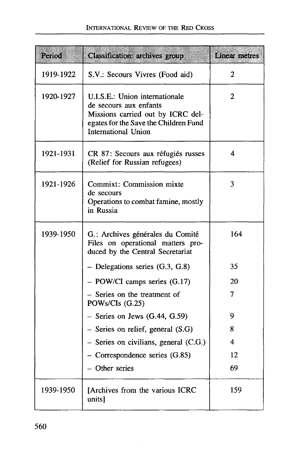| Period    | <b>Classification: archives group</b>                                                                                                                         | <b>Linear metres</b> |
|-----------|---------------------------------------------------------------------------------------------------------------------------------------------------------------|----------------------|
| 1919-1922 | S.V.: Secours Vivres (Food aid)                                                                                                                               | 2                    |
| 1920-1927 | U.I.S.E.: Union internationale<br>de secours aux enfants<br>Missions carried out by ICRC del-<br>egates for the Save the Children Fund<br>International Union | 2                    |
| 1921-1931 | CR 87: Secours aux réfugiés russes<br>(Relief for Russian refugees)                                                                                           | 4                    |
| 1921-1926 | Commixt: Commission mixte<br>de secours<br>Operations to combat famine, mostly<br>in Russia                                                                   | 3                    |
| 1939-1950 | G.: Archives générales du Comité<br>Files on operational matters pro-<br>duced by the Central Secretariat                                                     | 164                  |
|           | - Delegations series (G.3, G.8)                                                                                                                               | 35                   |
|           | $-$ POW/CI camps series $(G.17)$                                                                                                                              | 20                   |
|           | - Series on the treatment of<br>POWs/CIs (G.25)                                                                                                               | 7                    |
|           | $-$ Series on Jews (G.44, G.59)                                                                                                                               | 9                    |
|           | $-$ Series on relief, general $(S.G)$                                                                                                                         | 8                    |
|           | $-$ Series on civilians, general (C.G.)                                                                                                                       | 4                    |
|           | $-$ Correspondence series $(G.85)$                                                                                                                            | 12                   |
|           | - Other series                                                                                                                                                | 69                   |
| 1939-1950 | [Archives from the various ICRC<br>units]                                                                                                                     | 159                  |